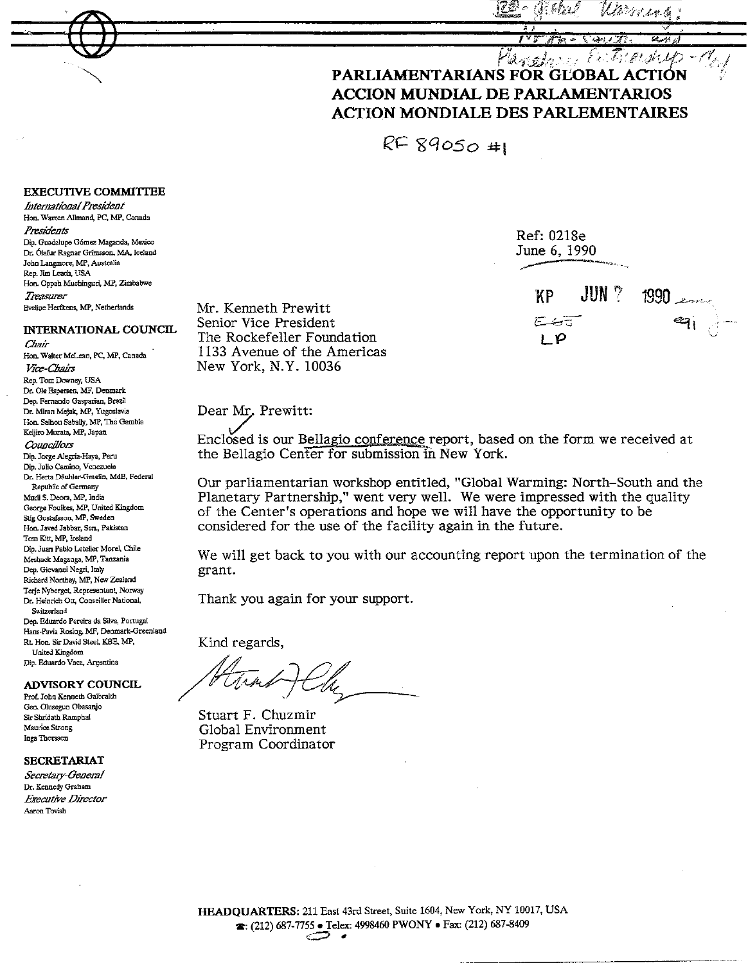Và Ve de del dia

# avolon Estrenus-d PARLIAMENTARIANS FOR GLOBAL ACTION **ACCION MUNDIAL DE PARLAMENTARIOS ACTION MONDIALE DES PARLEMENTAIRES**

Ref: 0218e

KΡ

೯ಅಕ

LΡ

June 6, 1990

 $\mathsf{JUN}$   $^{\circ}$ 

 $1990$ 

 $RF89050#$ 

## **EXECUTIVE COMMITTEE**

International President Hon. Warren Allmand, PC, MP, Canada

Presidents

Din, Guadalupe Gómez Maganda, Mexico Dr. Ólafur Ragnar Grímsson, MA, Iceland John Langmore, MP, Australia Rep. Jim Leach, USA Hon. Oppah Muchinguri, MP, Zimbabwe Treasurer Eveline Herfkens, MP, Netherlands

# INTERNATIONAL COUNCIL

Chair Hon, Walter McLean, PC, MP, Canada Vice-Chairs Rep. Tom Downey, USA Dr. Ole Espersen, MF, Depmark Dep. Fernando Gasparian, Brazil Dr. Miran Mejak, MP, Yugoslavia Hon. Saihou Sabally, MP, The Gambia Keijiro Murata, MP, Japan Conneillors Dip. Jorge Alegría-Haya, Peru Dip. Julio Camino, Venezuela Dr. Herta Däuhler-Grnelin, MdB, Federal Republic of Germany Murli S. Deora, MP, India George Foulkes, MP, United Kingdom Stig Gustafsson, MP, Sweden Hon. Javed Jabbar, Sen., Pakistan Tom Kitt, MP. Ireland Dip. Juan Pablo Letelier Morel, Chile Meshack Maganga, MP, Tanzania Dep. Giovanni Negri, Italy Richard Northey, MP, New Zealand Terje Nyberget, Representant, Norway Dr. Heinrich Ott, Conseiller National, Switzerland Dep. Eduardo Pereira da Silva, Portugal Hans-Pavia Rosing, MF, Denmark-Greenland Rt. Hon. Sir David Steel, KBE, MP,

United Kingdom Dip. Eduardo Vaca, Argentina

**ADVISORY COUNCIL** Prof. John Kenneth Galbraith

Gen. Olusegun Obasanjo Sir Shridath Ramphal Maurice Strong Inga Thorsson

#### **SECRETARIAT**

Secretary-General Dr. Kennedy Graham **Executive Director** Aaron Tovish

Mr. Kenneth Prewitt Senior Vice President The Rockefeller Foundation 1133 Avenue of the Americas New York, N.Y. 10036

## Dear Mr. Prewitt:

Enclosed is our Bellagio conference report, based on the form we received at the Bellagio Center for submission in New York.

Our parliamentarian workshop entitled, "Global Warming: North-South and the Planetary Partnership," went very well. We were impressed with the quality of the Center's operations and hope we will have the opportunity to be considered for the use of the facility again in the future.

We will get back to you with our accounting report upon the termination of the grant.

Thank you again for your support.

Kind regards,

Stuart F. Chuzmir Global Environment Program Coordinator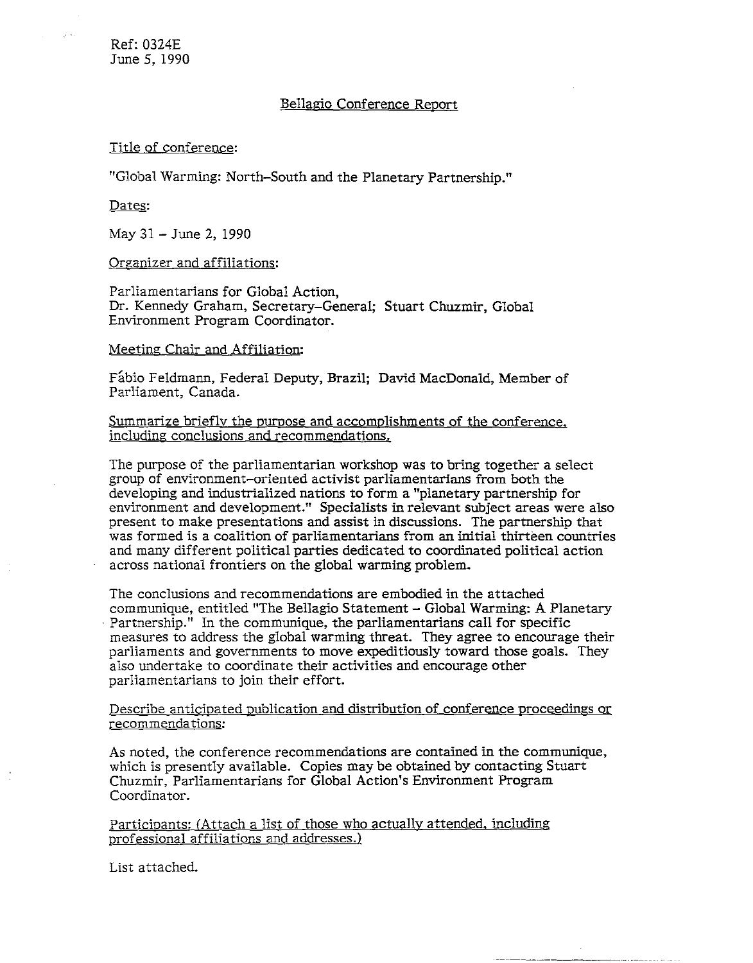# Bellagio Conference Report

#### Title of conference:

"Global Warming: North-South and the Planetary Partnership."

Dates:

May 31 - June 2, 1990

#### Organizer and affiliations:

Parliamentarians for Global Action, Dr. Kennedy Graham, Secretary-General; Stuart Chuzmir, Global Environment Program Coordinator.

#### Meeting Chair and Affiliation:

Fabio Feldmann, Federal Deputy, Brazil; David MacDonald, Member of Parliament, Canada.

Summarize briefly the puroose and accomplishments of the conference, including conclusions and recommendations.

The purpose of the parliamentarian workshop was to bring together a select group of environment-oriented activist parliamentarians from both the developing and industrialized nations to form a "planetary partnership for environment and development." Specialists in relevant subject areas were also present to make presentations and assist in discussions. The partnership that was formed is a coalition of parliamentarians from an initial thirteen countries and many different political parties dedicated to coordinated political action across national frontiers on the global warming problem.

The conclusions and recommendations are embodied in the attached communique, entitled "The Bellagio Statement - Global Warming: A Planetary · Partnership." In the communique, the parliamentarians call for specific measures to address the global warming threat. They agree to encourage their parliaments and governments to move expeditiously toward those goals. They also undertake to coordinate their activities and encourage other parliamentarians to join their effort.

#### Describe anticipated publication and distribution of conference proceedings or recommendations:

As noted, the conference recommendations are contained in the communique, which is presently available. Copies may be obtained by contacting Stuart Chuzmir, Parliamentarians for Global Action's Environment Program Coordinator.

Participants: (Attach a list of those who actually attended, including professional affiliations and addresses.)

List attached.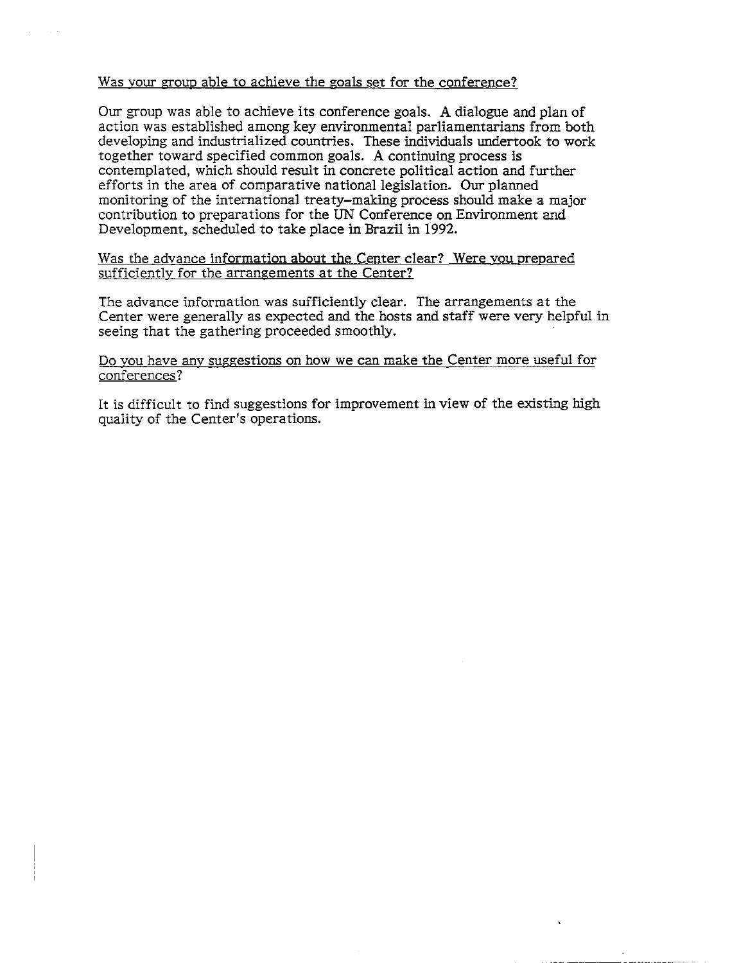### Was your grouo able to achieve the goals set for the conference?

Our group was able to achieve its conference goals. A dialogue and plan of action was established among key environmental parliamentarians from both developing and industrialized countries. These individuals undertook to work together toward specified common goals. A continuing process is contemplated, which should result in concrete political action and further efforts in the area of comparative national legislation. Our planned monitoring of the intemational treaty-making process should make a major contribution to preparations for the UN Conference on Environment and Development, scheduled to take place in Brazil in 1992.

Was the advance information about the Center clear? Were you prepared sufficiently for the arrangements at the Center?

The advance information was sufficiently clear. The arrangements at the Center were generally as expected and the hosts and staff were very helpful in seeing that the gathering proceeded smoothly.

## Do you have any suggestions on how we can make the Center more useful for conferences?

It is difficult to find suggestions for improvement in view of the existing high quality of the Center's operations.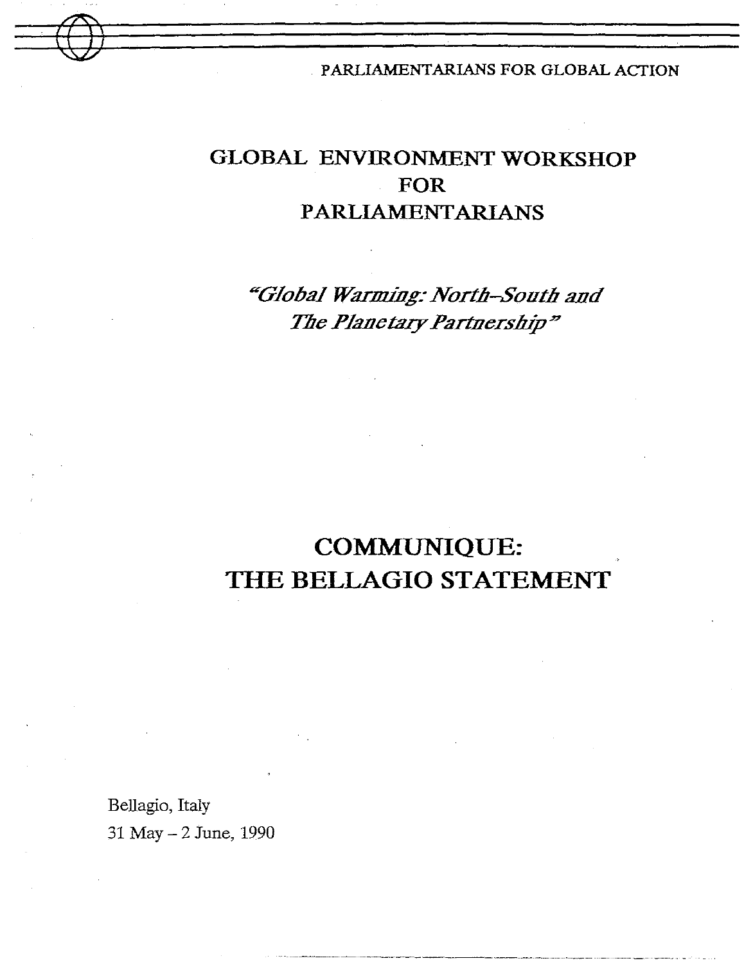PARLIAMENTARIANS FOR GLOBAL ACTION

# GLOBAL ENVIRONMENT WORKSHOP **FOR PARLIAMENTARIANS**

"Global Warming: North-South and The Planetary Partnership"

# **COMMUNIQUE:** THE BELLAGIO STATEMENT

Bellagio, Italy 31 May - 2 June, 1990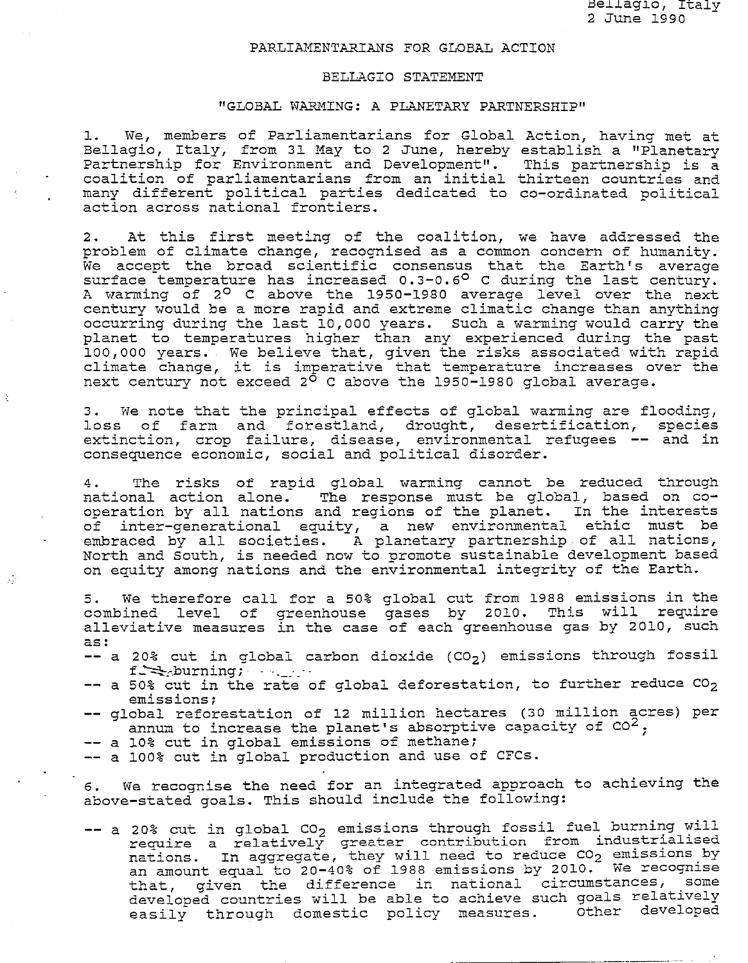#### PARLIAMENTARIANS FOR GLOBAL ACTION

#### BELLAGIO STATEMENT

#### "GLOBAL WARMING: A PLANETARY PARTNERSHIP"

l. We, members of Parliamentarians for Global Action, having met at Bellagio, Italy, from 31 May to 2 June, hereby establish a "Planetary Partnership for Environment and Development". This partnership is a<br>coalition of parliamentarians from an initial thirteen countries and many different political parties dedicated to co-ordinated political action across national frontiers. coalition of parliamentarians from an initial thirteen countries and

2. At this first meeting of the coalition, we have addressed the problem of climate change, recognised as a common concern of humanity. We accept the broad scientific consensus that the Earth's average surface temperature has increased  $0.3-0.6^{\circ}$  C during the last century. <sup>A</sup>warming of 2° C above the 1950-1980 average level over the next century would be a more rapid and extreme climatic change than anything occurring during the last 10,000 years. Such a warming would carry the planet to temperatures higher than any experienced during the past 100,000 years. We believe that, given the risks associated with rapid climate change, it is imperative that temperature increases over the next century not exceed 2° c above the 1950-1980 global average.

3. We note that the principal effects of global warming are flooding, loss of farm and forestland, drought, desertification, species extinction, crop failure, disease, environmental refugees -- and in consequence economic, social and political disorder.

4. The risks of rapid global warming cannot be reduced through national action alone. The response must be global, based on cooperation by all nations and regions of the planet. In the interests of inter-generational equity, a new environmental ethic must be embraced by all societies. A planetary partnership of all nations, North and South, is needed now to promote sustainable development based on equity among nations and the environmental integrity of the Earth.

5. We therefore call for a 50% global cut from 1988 emissions in the combined level of greenhouse gases by 2010. This will require alleviative measures in the case of each greenhouse gas by 2010, such as:

- -- a 20% cut in global carbon dioxide  $(CO_2)$  emissions through fossil<br>finitions:
- $-$  a 50% cut in the rate of global deforestation, to further reduce  $CO<sub>2</sub>$ emissions;
- -- global reforestation of 12 million hectares (30 million acres) per annum to increase the planet's absorptive capacity of  $CO^2$ :
- -- a 10% cut in global emissions of methane;

 $\mathcal{L}^{\mathcal{L}}$ 

-- a 100% cut in global production and use of CFCs.

6. We recognise the need for an integrated approach to achieving the above-stated goals. This should include the following:

-- a 20% cut in global  $co<sub>2</sub>$  emissions through fossil fuel burning will require a relatively greater contribution from industrialised require a leialively greater conditionation is in the conditions by nations. In aggregate, they will need to reduce by state recognise that, given the difference in national circumstances, some developed countries will be able to achieve such goals relatively<br>easily through domestic policy measures. Other developed easily through domestic policy measures.

-----------···- --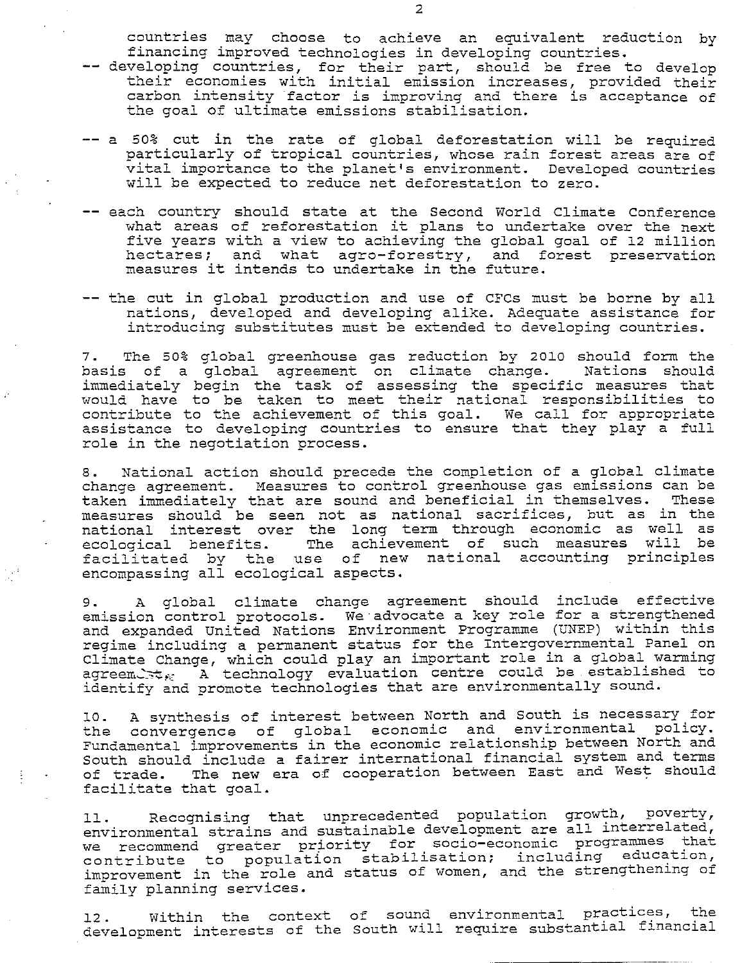countries may choose to achieve an equivalent reduction by financing improved technologies in developing countries.

- -- developing countries, for their part, should be free to develop their economies with initial emission increases, provided their carbon intensity factor is improving and there is acceptance of the goal of ultimate emissions stabilisation.
- -- a 50% cut in the rate of global deforestation will be required particularly of tropical countries, whose rain forest areas are of vital importance to the planet's environment. Developed countries will be expected to reduce net deforestation to zero.
- each country should state at the Second World Climate Conference<br>what areas of reforestation it plans to undertake over the next five years with a view to achieving the global goal of 12 million hectares; and what agro-forestry, and forest preservation measures it intends to undertake in the future.
- -- the cut in global production and use of CFCs must be borne by all nations, developed and developing alike. Adequate assistance for introducing substitutes must be extended to developing countries.

7. The 50% global greenhouse gas reduction by 2010 should form the basis of a global agreement on climate change. Nations should immediately begin the task of assessing the specific measures that would have to be taken to meet their national responsibilities to contribute to the achievement of this goal. We call for appropriate assistance to developing countries to ensure that they play a full role in the negotiation process.

8. National action should precede the completion of a global climate change agreement. Measures to control greenhouse gas emissions can be taken immediately that are sound and beneficial in themselves. These measures should be seen not as national sacrifices, but as in the national interest over the long term through economic as well as ecological benefits. The achievement of such measures will be ecorogical benefits. The achrevement of such measures wifi bo<br>facilitated by the use of new national accounting principles encompassing all ecological aspects.

9. A global climate change agreement should include effective emission control protocols. We advocate a key role for a strengthened and expanded United Nations Environment Programme (UNEP) within this regime including a permanent status for the Intergovernmental Panel on Climate Change, which could play an important role in a global warming dimate enange, which could pic, an improvement could be established to identify and promote technologies that are environmentally sound.

10. A synthesis of interest between North and South is necessary for the convergence of global economic and environmental policy. Fundamental improvements in the economic relationship between North and South should include a fairer international financial system and terms of trade. The new era of cooperation between East and West should facilitate that goal.

11. Recognising that unprecedented population growth, poverty, environmental strains and sustainable development are all interrelated, environmental strains and sustainable doveropment are are all that we recommend greater priority for socio-economic programmer. improvement in the role and status of women, and the strengthening of family planning services.

12. Within the context of sound environmental practices, the development interests of the South will require substantial financial